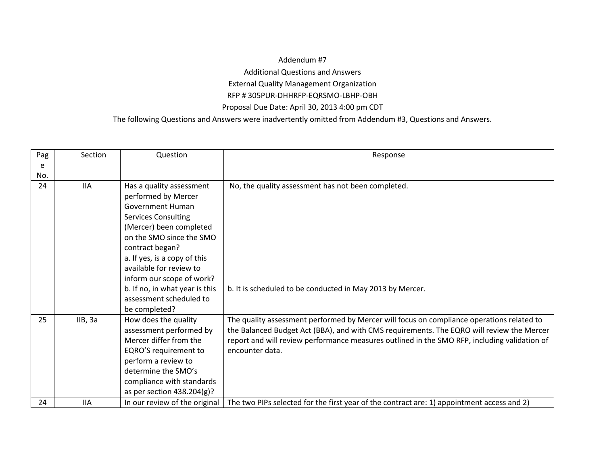## Addendum #7 Additional Questions and Answers External Quality Management Organization RFP # 305PUR-DHHRFP-EQRSMO-LBHP-OBH Proposal Due Date: April 30, 2013 4:00 pm CDT

The following Questions and Answers were inadvertently omitted from Addendum #3, Questions and Answers.

| Pag | Section    | Question                       | Response                                                                                     |
|-----|------------|--------------------------------|----------------------------------------------------------------------------------------------|
| e   |            |                                |                                                                                              |
| No. |            |                                |                                                                                              |
| 24  | <b>IIA</b> | Has a quality assessment       | No, the quality assessment has not been completed.                                           |
|     |            | performed by Mercer            |                                                                                              |
|     |            | <b>Government Human</b>        |                                                                                              |
|     |            | <b>Services Consulting</b>     |                                                                                              |
|     |            | (Mercer) been completed        |                                                                                              |
|     |            | on the SMO since the SMO       |                                                                                              |
|     |            | contract began?                |                                                                                              |
|     |            | a. If yes, is a copy of this   |                                                                                              |
|     |            | available for review to        |                                                                                              |
|     |            | inform our scope of work?      |                                                                                              |
|     |            | b. If no, in what year is this | b. It is scheduled to be conducted in May 2013 by Mercer.                                    |
|     |            | assessment scheduled to        |                                                                                              |
|     |            | be completed?                  |                                                                                              |
| 25  | IIB, 3a    | How does the quality           | The quality assessment performed by Mercer will focus on compliance operations related to    |
|     |            | assessment performed by        | the Balanced Budget Act (BBA), and with CMS requirements. The EQRO will review the Mercer    |
|     |            | Mercer differ from the         | report and will review performance measures outlined in the SMO RFP, including validation of |
|     |            | EQRO'S requirement to          | encounter data.                                                                              |
|     |            | perform a review to            |                                                                                              |
|     |            | determine the SMO's            |                                                                                              |
|     |            | compliance with standards      |                                                                                              |
|     |            | as per section 438.204(g)?     |                                                                                              |
| 24  | <b>IIA</b> | In our review of the original  | The two PIPs selected for the first year of the contract are: 1) appointment access and 2)   |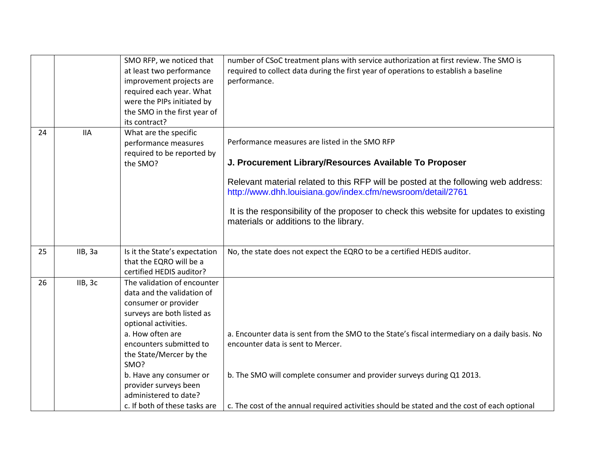|    |            | SMO RFP, we noticed that<br>at least two performance<br>improvement projects are<br>required each year. What<br>were the PIPs initiated by<br>the SMO in the first year of<br>its contract?                                                                                                                                             | number of CSoC treatment plans with service authorization at first review. The SMO is<br>required to collect data during the first year of operations to establish a baseline<br>performance.                                                                                                                                                                                                     |
|----|------------|-----------------------------------------------------------------------------------------------------------------------------------------------------------------------------------------------------------------------------------------------------------------------------------------------------------------------------------------|---------------------------------------------------------------------------------------------------------------------------------------------------------------------------------------------------------------------------------------------------------------------------------------------------------------------------------------------------------------------------------------------------|
| 24 | <b>IIA</b> | What are the specific<br>performance measures<br>required to be reported by<br>the SMO?                                                                                                                                                                                                                                                 | Performance measures are listed in the SMO RFP<br>J. Procurement Library/Resources Available To Proposer<br>Relevant material related to this RFP will be posted at the following web address:<br>http://www.dhh.louisiana.gov/index.cfm/newsroom/detail/2761<br>It is the responsibility of the proposer to check this website for updates to existing<br>materials or additions to the library. |
| 25 | IIB, 3a    | Is it the State's expectation<br>that the EQRO will be a<br>certified HEDIS auditor?                                                                                                                                                                                                                                                    | No, the state does not expect the EQRO to be a certified HEDIS auditor.                                                                                                                                                                                                                                                                                                                           |
| 26 | IIB, 3c    | The validation of encounter<br>data and the validation of<br>consumer or provider<br>surveys are both listed as<br>optional activities.<br>a. How often are<br>encounters submitted to<br>the State/Mercer by the<br>SMO?<br>b. Have any consumer or<br>provider surveys been<br>administered to date?<br>c. If both of these tasks are | a. Encounter data is sent from the SMO to the State's fiscal intermediary on a daily basis. No<br>encounter data is sent to Mercer.<br>b. The SMO will complete consumer and provider surveys during Q1 2013.<br>c. The cost of the annual required activities should be stated and the cost of each optional                                                                                     |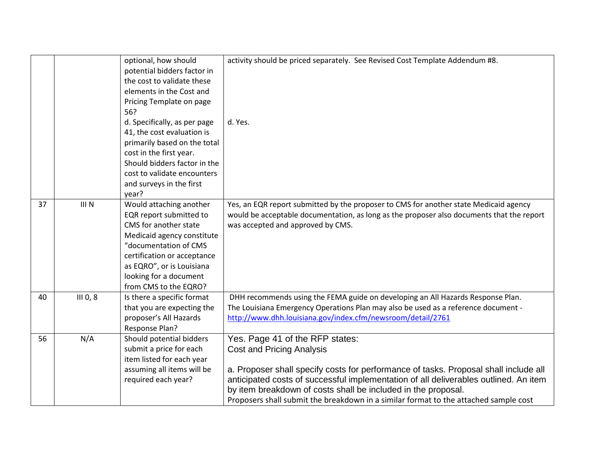|    |                      | optional, how should<br>potential bidders factor in<br>the cost to validate these<br>elements in the Cost and<br>Pricing Template on page<br>56?                                                                                                  | activity should be priced separately. See Revised Cost Template Addendum #8.                                                                                                                                                                                                                                                                                                                                 |
|----|----------------------|---------------------------------------------------------------------------------------------------------------------------------------------------------------------------------------------------------------------------------------------------|--------------------------------------------------------------------------------------------------------------------------------------------------------------------------------------------------------------------------------------------------------------------------------------------------------------------------------------------------------------------------------------------------------------|
|    |                      | d. Specifically, as per page<br>41, the cost evaluation is<br>primarily based on the total<br>cost in the first year.<br>Should bidders factor in the<br>cost to validate encounters<br>and surveys in the first<br>year?                         | d. Yes.                                                                                                                                                                                                                                                                                                                                                                                                      |
| 37 | III N                | Would attaching another<br>EQR report submitted to<br>CMS for another state<br>Medicaid agency constitute<br>"documentation of CMS<br>certification or acceptance<br>as EQRO", or is Louisiana<br>looking for a document<br>from CMS to the EQRO? | Yes, an EQR report submitted by the proposer to CMS for another state Medicaid agency<br>would be acceptable documentation, as long as the proposer also documents that the report<br>was accepted and approved by CMS.                                                                                                                                                                                      |
| 40 | III <sub>0</sub> , 8 | Is there a specific format<br>that you are expecting the<br>proposer's All Hazards<br>Response Plan?                                                                                                                                              | DHH recommends using the FEMA guide on developing an All Hazards Response Plan.<br>The Louisiana Emergency Operations Plan may also be used as a reference document -<br>http://www.dhh.louisiana.gov/index.cfm/newsroom/detail/2761                                                                                                                                                                         |
| 56 | N/A                  | Should potential bidders<br>submit a price for each<br>item listed for each year<br>assuming all items will be<br>required each year?                                                                                                             | Yes. Page 41 of the RFP states:<br><b>Cost and Pricing Analysis</b><br>a. Proposer shall specify costs for performance of tasks. Proposal shall include all<br>anticipated costs of successful implementation of all deliverables outlined. An item<br>by item breakdown of costs shall be included in the proposal.<br>Proposers shall submit the breakdown in a similar format to the attached sample cost |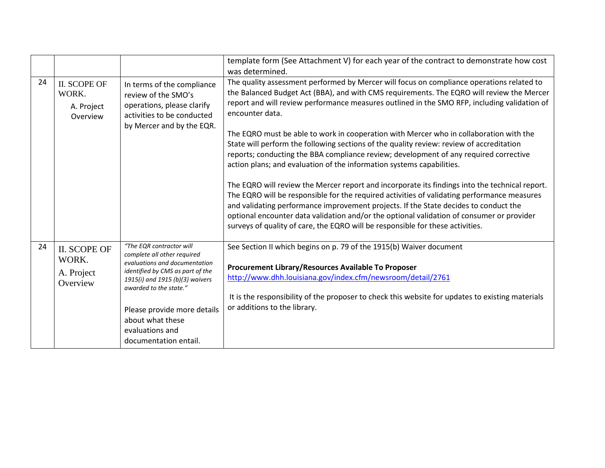|    |                                                        |                                                                                                                                                                                                                                                                                          | template form (See Attachment V) for each year of the contract to demonstrate how cost<br>was determined.                                                                                                                                                                                                                                                                                                                                                                                                                                                                                                                                                                                                                                                                                                                                                                                                                                                                                                                                                                                                                                 |
|----|--------------------------------------------------------|------------------------------------------------------------------------------------------------------------------------------------------------------------------------------------------------------------------------------------------------------------------------------------------|-------------------------------------------------------------------------------------------------------------------------------------------------------------------------------------------------------------------------------------------------------------------------------------------------------------------------------------------------------------------------------------------------------------------------------------------------------------------------------------------------------------------------------------------------------------------------------------------------------------------------------------------------------------------------------------------------------------------------------------------------------------------------------------------------------------------------------------------------------------------------------------------------------------------------------------------------------------------------------------------------------------------------------------------------------------------------------------------------------------------------------------------|
| 24 | <b>II. SCOPE OF</b><br>WORK.<br>A. Project<br>Overview | In terms of the compliance<br>review of the SMO's<br>operations, please clarify<br>activities to be conducted<br>by Mercer and by the EQR.                                                                                                                                               | The quality assessment performed by Mercer will focus on compliance operations related to<br>the Balanced Budget Act (BBA), and with CMS requirements. The EQRO will review the Mercer<br>report and will review performance measures outlined in the SMO RFP, including validation of<br>encounter data.<br>The EQRO must be able to work in cooperation with Mercer who in collaboration with the<br>State will perform the following sections of the quality review: review of accreditation<br>reports; conducting the BBA compliance review; development of any required corrective<br>action plans; and evaluation of the information systems capabilities.<br>The EQRO will review the Mercer report and incorporate its findings into the technical report.<br>The EQRO will be responsible for the required activities of validating performance measures<br>and validating performance improvement projects. If the State decides to conduct the<br>optional encounter data validation and/or the optional validation of consumer or provider<br>surveys of quality of care, the EQRO will be responsible for these activities. |
| 24 | <b>II. SCOPE OF</b><br>WORK.<br>A. Project<br>Overview | "The EQR contractor will<br>complete all other required<br>evaluations and documentation<br>identified by CMS as part of the<br>1915(i) and 1915 (b)(3) waivers<br>awarded to the state."<br>Please provide more details<br>about what these<br>evaluations and<br>documentation entail. | See Section II which begins on p. 79 of the 1915(b) Waiver document<br>Procurement Library/Resources Available To Proposer<br>http://www.dhh.louisiana.gov/index.cfm/newsroom/detail/2761<br>It is the responsibility of the proposer to check this website for updates to existing materials<br>or additions to the library.                                                                                                                                                                                                                                                                                                                                                                                                                                                                                                                                                                                                                                                                                                                                                                                                             |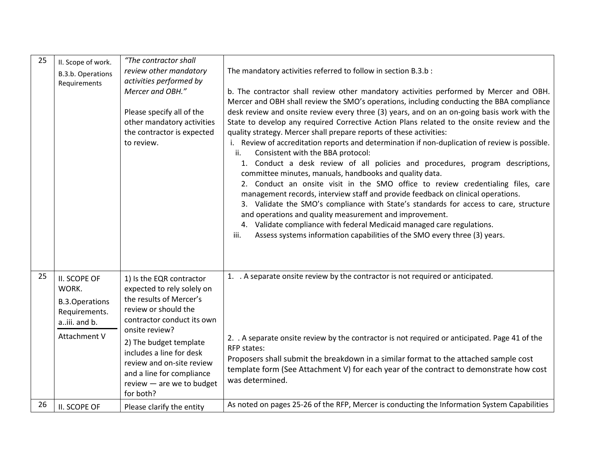| 25 | II. Scope of work.<br>B.3.b. Operations                                                         | "The contractor shall<br>review other mandatory                                                                                                                                                                                                                                                                     | The mandatory activities referred to follow in section B.3.b :                                                                                                                                                                                                                                                                                                                                                                                                                                                                                                                                                                                                                                                                                                                                                                                                                                                                                                                                                                                                                                                                                                                                                                                |
|----|-------------------------------------------------------------------------------------------------|---------------------------------------------------------------------------------------------------------------------------------------------------------------------------------------------------------------------------------------------------------------------------------------------------------------------|-----------------------------------------------------------------------------------------------------------------------------------------------------------------------------------------------------------------------------------------------------------------------------------------------------------------------------------------------------------------------------------------------------------------------------------------------------------------------------------------------------------------------------------------------------------------------------------------------------------------------------------------------------------------------------------------------------------------------------------------------------------------------------------------------------------------------------------------------------------------------------------------------------------------------------------------------------------------------------------------------------------------------------------------------------------------------------------------------------------------------------------------------------------------------------------------------------------------------------------------------|
|    | Requirements                                                                                    | activities performed by<br>Mercer and OBH."<br>Please specify all of the<br>other mandatory activities<br>the contractor is expected<br>to review.                                                                                                                                                                  | b. The contractor shall review other mandatory activities performed by Mercer and OBH.<br>Mercer and OBH shall review the SMO's operations, including conducting the BBA compliance<br>desk review and onsite review every three (3) years, and on an on-going basis work with the<br>State to develop any required Corrective Action Plans related to the onsite review and the<br>quality strategy. Mercer shall prepare reports of these activities:<br>i. Review of accreditation reports and determination if non-duplication of review is possible.<br>Consistent with the BBA protocol:<br>ii.<br>1. Conduct a desk review of all policies and procedures, program descriptions,<br>committee minutes, manuals, handbooks and quality data.<br>2. Conduct an onsite visit in the SMO office to review credentialing files, care<br>management records, interview staff and provide feedback on clinical operations.<br>3. Validate the SMO's compliance with State's standards for access to care, structure<br>and operations and quality measurement and improvement.<br>4. Validate compliance with federal Medicaid managed care regulations.<br>Assess systems information capabilities of the SMO every three (3) years.<br>iii. |
| 25 | II. SCOPE OF<br>WORK.<br><b>B.3.Operations</b><br>Requirements.<br>aiii. and b.<br>Attachment V | 1) Is the EQR contractor<br>expected to rely solely on<br>the results of Mercer's<br>review or should the<br>contractor conduct its own<br>onsite review?<br>2) The budget template<br>includes a line for desk<br>review and on-site review<br>and a line for compliance<br>review - are we to budget<br>for both? | 1. A separate onsite review by the contractor is not required or anticipated.<br>2. A separate onsite review by the contractor is not required or anticipated. Page 41 of the<br><b>RFP</b> states:<br>Proposers shall submit the breakdown in a similar format to the attached sample cost<br>template form (See Attachment V) for each year of the contract to demonstrate how cost<br>was determined.                                                                                                                                                                                                                                                                                                                                                                                                                                                                                                                                                                                                                                                                                                                                                                                                                                      |
| 26 | II. SCOPE OF                                                                                    | Please clarify the entity                                                                                                                                                                                                                                                                                           | As noted on pages 25-26 of the RFP, Mercer is conducting the Information System Capabilities                                                                                                                                                                                                                                                                                                                                                                                                                                                                                                                                                                                                                                                                                                                                                                                                                                                                                                                                                                                                                                                                                                                                                  |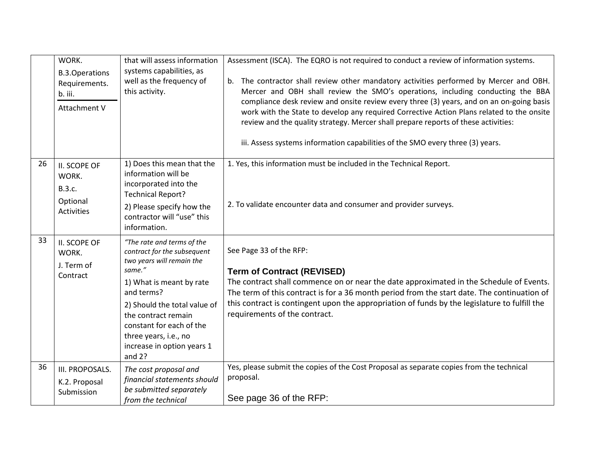|    | WORK.                                                             | that will assess information<br>systems capabilities, as                                                                                                                                                                                                                                         | Assessment (ISCA). The EQRO is not required to conduct a review of information systems.                                                                                                                                                                                                                                                                                                                                                                                                                                                   |
|----|-------------------------------------------------------------------|--------------------------------------------------------------------------------------------------------------------------------------------------------------------------------------------------------------------------------------------------------------------------------------------------|-------------------------------------------------------------------------------------------------------------------------------------------------------------------------------------------------------------------------------------------------------------------------------------------------------------------------------------------------------------------------------------------------------------------------------------------------------------------------------------------------------------------------------------------|
|    | <b>B.3.Operations</b><br>Requirements.<br>b. iii.<br>Attachment V | well as the frequency of<br>this activity.                                                                                                                                                                                                                                                       | b. The contractor shall review other mandatory activities performed by Mercer and OBH.<br>Mercer and OBH shall review the SMO's operations, including conducting the BBA<br>compliance desk review and onsite review every three (3) years, and on an on-going basis<br>work with the State to develop any required Corrective Action Plans related to the onsite<br>review and the quality strategy. Mercer shall prepare reports of these activities:<br>iii. Assess systems information capabilities of the SMO every three (3) years. |
| 26 | II. SCOPE OF<br>WORK.<br>B.3.c.<br>Optional<br><b>Activities</b>  | 1) Does this mean that the<br>information will be<br>incorporated into the<br><b>Technical Report?</b><br>2) Please specify how the<br>contractor will "use" this<br>information.                                                                                                                | 1. Yes, this information must be included in the Technical Report.<br>2. To validate encounter data and consumer and provider surveys.                                                                                                                                                                                                                                                                                                                                                                                                    |
| 33 | II. SCOPE OF<br>WORK.<br>J. Term of<br>Contract                   | "The rate and terms of the<br>contract for the subsequent<br>two years will remain the<br>same."<br>1) What is meant by rate<br>and terms?<br>2) Should the total value of<br>the contract remain<br>constant for each of the<br>three years, i.e., no<br>increase in option years 1<br>and $2?$ | See Page 33 of the RFP:<br><b>Term of Contract (REVISED)</b><br>The contract shall commence on or near the date approximated in the Schedule of Events.<br>The term of this contract is for a 36 month period from the start date. The continuation of<br>this contract is contingent upon the appropriation of funds by the legislature to fulfill the<br>requirements of the contract.                                                                                                                                                  |
| 36 | III. PROPOSALS.<br>K.2. Proposal<br>Submission                    | The cost proposal and<br>financial statements should<br>be submitted separately<br>from the technical                                                                                                                                                                                            | Yes, please submit the copies of the Cost Proposal as separate copies from the technical<br>proposal.<br>See page 36 of the RFP:                                                                                                                                                                                                                                                                                                                                                                                                          |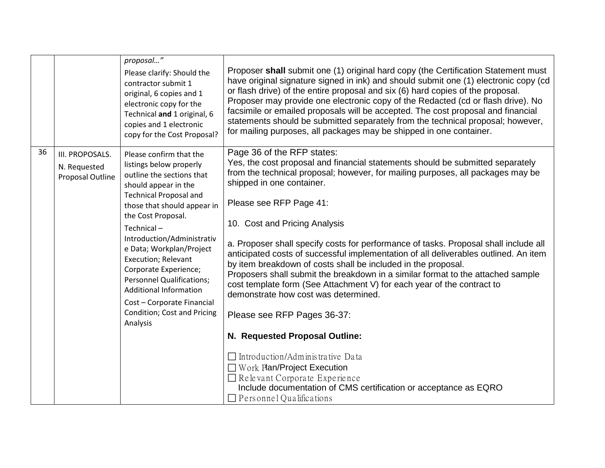|    |                                                     | proposal"<br>Please clarify: Should the<br>contractor submit 1<br>original, 6 copies and 1<br>electronic copy for the<br>Technical and 1 original, 6<br>copies and 1 electronic<br>copy for the Cost Proposal?   | Proposer shall submit one (1) original hard copy (the Certification Statement must<br>have original signature signed in ink) and should submit one (1) electronic copy (cd<br>or flash drive) of the entire proposal and six (6) hard copies of the proposal.<br>Proposer may provide one electronic copy of the Redacted (cd or flash drive). No<br>facsimile or emailed proposals will be accepted. The cost proposal and financial<br>statements should be submitted separately from the technical proposal; however,<br>for mailing purposes, all packages may be shipped in one container. |
|----|-----------------------------------------------------|------------------------------------------------------------------------------------------------------------------------------------------------------------------------------------------------------------------|-------------------------------------------------------------------------------------------------------------------------------------------------------------------------------------------------------------------------------------------------------------------------------------------------------------------------------------------------------------------------------------------------------------------------------------------------------------------------------------------------------------------------------------------------------------------------------------------------|
| 36 | III. PROPOSALS.<br>N. Requested<br>Proposal Outline | Please confirm that the<br>listings below properly<br>outline the sections that<br>should appear in the<br><b>Technical Proposal and</b><br>those that should appear in<br>the Cost Proposal.<br>Technical-      | Page 36 of the RFP states:<br>Yes, the cost proposal and financial statements should be submitted separately<br>from the technical proposal; however, for mailing purposes, all packages may be<br>shipped in one container.<br>Please see RFP Page 41:<br>10. Cost and Pricing Analysis                                                                                                                                                                                                                                                                                                        |
|    |                                                     | Introduction/Administrativ<br>e Data; Workplan/Project<br><b>Execution; Relevant</b><br>Corporate Experience;<br><b>Personnel Qualifications;</b><br><b>Additional Information</b><br>Cost - Corporate Financial | a. Proposer shall specify costs for performance of tasks. Proposal shall include all<br>anticipated costs of successful implementation of all deliverables outlined. An item<br>by item breakdown of costs shall be included in the proposal.<br>Proposers shall submit the breakdown in a similar format to the attached sample<br>cost template form (See Attachment V) for each year of the contract to<br>demonstrate how cost was determined.                                                                                                                                              |
|    |                                                     | Condition; Cost and Pricing<br>Analysis                                                                                                                                                                          | Please see RFP Pages 36-37:<br>N. Requested Proposal Outline:                                                                                                                                                                                                                                                                                                                                                                                                                                                                                                                                   |
|    |                                                     |                                                                                                                                                                                                                  | $\Box$ Introduction/Administrative Data<br>$\Box$ Work Plan/Project Execution<br>$\Box$ Relevant Corporate Experience<br>Include documentation of CMS certification or acceptance as EQRO<br>$\Box$ Personnel Qualifications                                                                                                                                                                                                                                                                                                                                                                    |